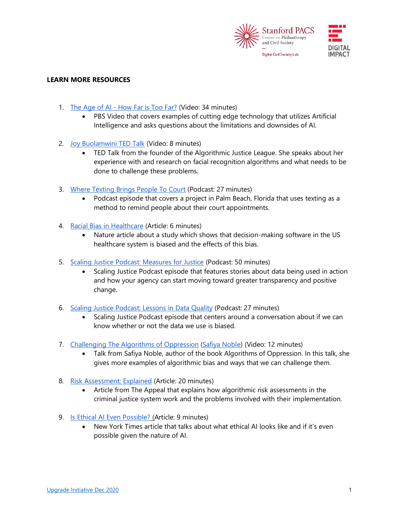

## **LEARN MORE RESOURCES**

- 1. The Age of AI [How Far is Too Far?](https://www.youtube.com/watch?v=UwsrzCVZAb8&list=PL98SCznNERSdlx5MXvYa-QH9mCasqpy_8&index=1) (Video: 34 minutes)
	- PBS Video that covers examples of cutting edge technology that utilizes Artificial Intelligence and asks questions about the limitations and downsides of AI.
- 2. [Joy Buolamwini TED Talk](https://www.ted.com/talks/joy_buolamwini_how_i_m_fighting_bias_in_algorithms) (Video: 8 minutes)
	- TED Talk from the founder of the Algorithmic Justice League. She speaks about her experience with and research on facial recognition algorithms and what needs to be done to challenge these problems.
- 3. [Where Texting Brings People To Court](https://70millionpod.com/episodes) (Podcast: 27 minutes)
	- Podcast episode that covers a project in Palm Beach, Florida that uses texting as a method to remind people about their court appointments.
- 4. [Racial Bias in Healthcare](https://www.nature.com/articles/d41586-019-03228-6) (Article: 6 minutes)
	- Nature article about a study which shows that decision-making software in the US healthcare system is biased and the effects of this bias.
- 5. [Scaling Justice Podcast: Measures for Justice](https://podcasts.apple.com/us/podcast/measures-for-justice-stories-of-data-in-action/id1478915700?i=1000472361493) (Podcast: 50 minutes)
	- Scaling Justice Podcast episode that features stories about data being used in action and how your agency can start moving toward greater transparency and positive change.
- 6. [Scaling Justice Podcast: Lessons in Data Quality](https://podcasts.apple.com/us/podcast/lessons-in-data-quality/id1478915700?i=1000453813463) (Podcast: 27 minutes)
	- Scaling Justice Podcast episode that centers around a conversation about if we can know whether or not the data we use is biased.
- 7. [Challenging The Algorithms of Oppression](https://www.youtube.com/watch?v=iRVZozEEWlE) [\(Safiya Noble\)](https://safiyaunoble.com/) (Video: 12 minutes)
	- Talk from Safiya Noble, author of the book Algorithms of Oppression. In this talk, she gives more examples of algorithmic bias and ways that we can challenge them.
- 8. [Risk Assessment: Explained](https://theappeal.org/risk-assessment-explained/) (Article: 20 minutes)
	- Article from The Appeal that explains how algorithmic risk assessments in the criminal justice system work and the problems involved with their implementation.
- 9. [Is Ethical AI Even Possible?](https://www.nytimes.com/2019/03/01/business/ethics-artificial-intelligence.html) (Article: 9 minutes)
	- New York Times article that talks about what ethical AI looks like and if it's even possible given the nature of AI.